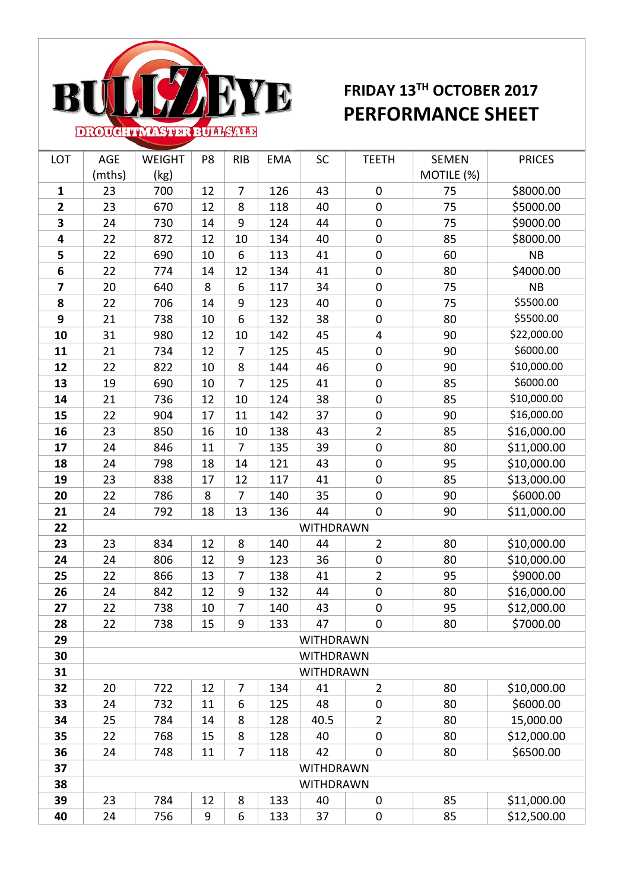

## **FRIDAY 13TH OCTOBER 2017 PERFORMANCE SHEET**

| LOT            | AGE              | WEIGHT | P8 | <b>RIB</b>     | EMA | SC               | <b>TEETH</b>     | <b>SEMEN</b> | <b>PRICES</b> |  |
|----------------|------------------|--------|----|----------------|-----|------------------|------------------|--------------|---------------|--|
|                | (mths)           | (kg)   |    |                |     |                  |                  | MOTILE (%)   |               |  |
| $\mathbf{1}$   | 23               | 700    | 12 | $\overline{7}$ | 126 | 43               | $\mathbf 0$      | 75           | \$8000.00     |  |
| $\overline{2}$ | 23               | 670    | 12 | 8              | 118 | 40               | $\mathbf 0$      | 75           | \$5000.00     |  |
| 3              | 24               | 730    | 14 | 9              | 124 | 44               | $\boldsymbol{0}$ | 75           | \$9000.00     |  |
| 4              | 22               | 872    | 12 | 10             | 134 | 40               | $\boldsymbol{0}$ | 85           | \$8000.00     |  |
| 5              | 22               | 690    | 10 | 6              | 113 | 41               | $\boldsymbol{0}$ | 60           | NB            |  |
| 6              | 22               | 774    | 14 | 12             | 134 | 41               | $\boldsymbol{0}$ | 80           | \$4000.00     |  |
| 7              | 20               | 640    | 8  | 6              | 117 | 34               | $\boldsymbol{0}$ | 75           | NB            |  |
| 8              | 22               | 706    | 14 | 9              | 123 | 40               | $\boldsymbol{0}$ | 75           | \$5500.00     |  |
| 9              | 21               | 738    | 10 | 6              | 132 | 38               | $\boldsymbol{0}$ | 80           | \$5500.00     |  |
| 10             | 31               | 980    | 12 | 10             | 142 | 45               | $\overline{4}$   | 90           | \$22,000.00   |  |
| 11             | 21               | 734    | 12 | 7              | 125 | 45               | $\boldsymbol{0}$ | 90           | \$6000.00     |  |
| 12             | 22               | 822    | 10 | 8              | 144 | 46               | $\mathbf 0$      | 90           | \$10,000.00   |  |
| 13             | 19               | 690    | 10 | 7              | 125 | 41               | $\boldsymbol{0}$ | 85           | \$6000.00     |  |
| 14             | 21               | 736    | 12 | 10             | 124 | 38               | $\mathbf 0$      | 85           | \$10,000.00   |  |
| 15             | 22               | 904    | 17 | 11             | 142 | 37               | $\boldsymbol{0}$ | 90           | \$16,000.00   |  |
| 16             | 23               | 850    | 16 | 10             | 138 | 43               | $\overline{2}$   | 85           | \$16,000.00   |  |
| 17             | 24               | 846    | 11 | 7              | 135 | 39               | $\boldsymbol{0}$ | 80           | \$11,000.00   |  |
| 18             | 24               | 798    | 18 | 14             | 121 | 43               | $\mathbf 0$      | 95           | \$10,000.00   |  |
| 19             | 23               | 838    | 17 | 12             | 117 | 41               | $\boldsymbol{0}$ | 85           | \$13,000.00   |  |
| 20             | 22               | 786    | 8  | $\overline{7}$ | 140 | 35               | $\boldsymbol{0}$ | 90           | \$6000.00     |  |
| 21             | 24               | 792    | 18 | 13             | 136 | 44               | $\boldsymbol{0}$ | 90           | \$11,000.00   |  |
| 22             |                  |        |    |                |     | <b>WITHDRAWN</b> |                  |              |               |  |
| 23             | 23               | 834    | 12 | 8              | 140 | 44               | $\overline{2}$   | 80           | \$10,000.00   |  |
| 24             | 24               | 806    | 12 | 9              | 123 | 36               | $\boldsymbol{0}$ | 80           | \$10,000.00   |  |
| 25             | 22               | 866    | 13 | 7              | 138 | 41               | $\overline{2}$   | 95           | \$9000.00     |  |
| 26             | 24               | 842    | 12 | $9\,$          | 132 | 44               | $\boldsymbol{0}$ | 80           | \$16,000.00   |  |
| 27             | 22               | 738    | 10 | $\overline{7}$ | 140 | 43               | $\boldsymbol{0}$ | 95           | \$12,000.00   |  |
| 28             | 22               | 738    | 15 | 9              | 133 | 47               | $\mathbf 0$      | 80           | \$7000.00     |  |
| 29             |                  |        |    |                |     | <b>WITHDRAWN</b> |                  |              |               |  |
| 30             |                  |        |    |                |     | <b>WITHDRAWN</b> |                  |              |               |  |
| 31             |                  |        |    |                |     | <b>WITHDRAWN</b> |                  |              |               |  |
| 32             | 20               | 722    | 12 | $\overline{7}$ | 134 | 41               | $\overline{2}$   | 80           | \$10,000.00   |  |
| 33             | 24               | 732    | 11 | 6              | 125 | 48               | $\mathbf 0$      | 80           | \$6000.00     |  |
| 34             | 25               | 784    | 14 | 8              | 128 | 40.5             | $\overline{2}$   | 80           | 15,000.00     |  |
| 35             | 22               | 768    | 15 | 8              | 128 | 40               | $\mathbf 0$      | 80           | \$12,000.00   |  |
| 36             | 24               | 748    | 11 | 7              | 118 | 42               | $\mathbf 0$      | 80           | \$6500.00     |  |
| 37             | <b>WITHDRAWN</b> |        |    |                |     |                  |                  |              |               |  |
| 38             | <b>WITHDRAWN</b> |        |    |                |     |                  |                  |              |               |  |
| 39             | 23               | 784    | 12 | 8              | 133 | 40               | $\mathbf 0$      | 85           | \$11,000.00   |  |
| 40             | 24               | 756    | 9  | 6              | 133 | 37               | $\boldsymbol{0}$ | 85           | \$12,500.00   |  |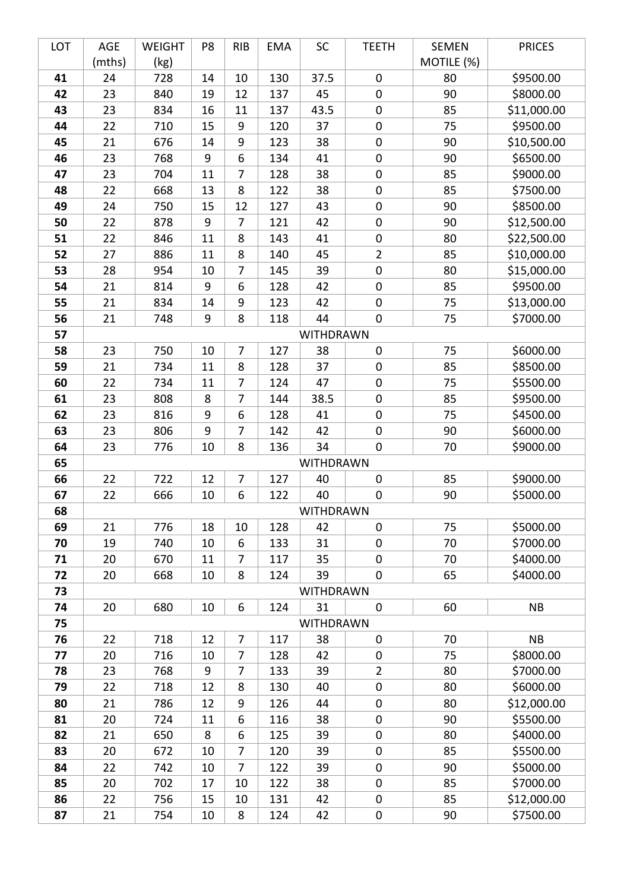| LOT      | AGE      | WEIGHT     | P8       | <b>RIB</b>     | <b>EMA</b> | SC                     | <b>TEETH</b>     | <b>SEMEN</b> | <b>PRICES</b>          |
|----------|----------|------------|----------|----------------|------------|------------------------|------------------|--------------|------------------------|
|          | (mths)   | (kg)       |          |                |            |                        |                  | MOTILE (%)   |                        |
| 41       | 24       | 728        | 14       | 10             | 130        | 37.5                   | $\boldsymbol{0}$ | 80           | \$9500.00              |
| 42       | 23       | 840        | 19       | 12             | 137        | 45                     | $\mathbf 0$      | 90           | \$8000.00              |
| 43       | 23       | 834        | 16       | 11             | 137        | 43.5                   | $\pmb{0}$        | 85           | \$11,000.00            |
| 44       | 22       | 710        | 15       | 9              | 120        | 37                     | $\pmb{0}$        | 75           | \$9500.00              |
| 45       | 21       | 676        | 14       | 9              | 123        | 38                     | $\boldsymbol{0}$ | 90           | \$10,500.00            |
| 46       | 23       | 768        | 9        | 6              | 134        | 41                     | $\pmb{0}$        | 90           | \$6500.00              |
| 47       | 23       | 704        | 11       | 7              | 128        | 38                     | $\boldsymbol{0}$ | 85           | \$9000.00              |
| 48       | 22       | 668        | 13       | 8              | 122        | 38                     | $\boldsymbol{0}$ | 85           | \$7500.00              |
| 49       | 24       | 750        | 15       | 12             | 127        | 43                     | $\boldsymbol{0}$ | 90           | \$8500.00              |
| 50       | 22       | 878        | 9        | $\overline{7}$ | 121        | 42                     | $\boldsymbol{0}$ | 90           | \$12,500.00            |
| 51       | 22       | 846        | 11       | 8              | 143        | 41                     | $\boldsymbol{0}$ | 80           | \$22,500.00            |
| 52       | 27       | 886        | 11       | 8              | 140        | 45                     | $\overline{2}$   | 85           | \$10,000.00            |
| 53       | 28       | 954        | 10       | 7              | 145        | 39                     | $\pmb{0}$        | 80           | \$15,000.00            |
| 54       | 21       | 814        | 9        | 6              | 128        | 42                     | $\boldsymbol{0}$ | 85           | \$9500.00              |
| 55       | 21       | 834        | 14       | 9              | 123        | 42                     | $\boldsymbol{0}$ | 75           | \$13,000.00            |
| 56       | 21       | 748        | 9        | 8              | 118        | 44                     | $\boldsymbol{0}$ | 75           | \$7000.00              |
| 57       |          |            |          |                |            | WITHDRAWN              |                  |              |                        |
| 58       | 23       | 750        | 10       | $\overline{7}$ | 127        | 38                     | $\pmb{0}$        | 75           | \$6000.00              |
| 59       | 21       | 734        | 11       | 8              | 128        | 37                     | $\pmb{0}$        | 85           | \$8500.00              |
| 60       | 22       | 734        | 11       | 7              | 124        | 47                     | $\boldsymbol{0}$ | 75           | \$5500.00              |
| 61       | 23       | 808        | 8        | $\overline{7}$ | 144        | 38.5                   | $\pmb{0}$        | 85           | \$9500.00              |
| 62       | 23       | 816        | 9        | 6              | 128        | 41                     | $\boldsymbol{0}$ | 75           | \$4500.00              |
| 63       | 23       | 806        | 9        | $\overline{7}$ | 142        | 42                     | $\pmb{0}$        | 90           | \$6000.00              |
| 64       | 23       | 776        | 10       | 8              | 136        | 34                     | $\pmb{0}$        | 70           | \$9000.00              |
| 65       |          |            |          |                |            | <b>WITHDRAWN</b>       |                  |              |                        |
| 66       | 22       | 722        | 12       | 7              | 127        | 40                     | $\pmb{0}$        | 85           | \$9000.00              |
| 67<br>68 | 22       | 666        | 10       | 6              | 122        | 40<br><b>WITHDRAWN</b> | $\pmb{0}$        | 90           | \$5000.00              |
| 69       |          |            |          |                |            |                        | $\mathbf 0$      | 75           |                        |
| 70       | 21<br>19 | 776<br>740 | 18<br>10 | 10<br>6        | 128<br>133 | 42<br>31               | $\mathbf 0$      | 70           | \$5000.00<br>\$7000.00 |
| 71       | 20       | 670        | 11       | 7              | 117        | 35                     | $\pmb{0}$        | 70           | \$4000.00              |
| 72       | 20       | 668        | 10       | 8              | 124        | 39                     | $\pmb{0}$        | 65           | \$4000.00              |
| 73       |          |            |          |                |            | WITHDRAWN              |                  |              |                        |
| 74       | 20       | 680        | 10       | 6              | 124        | 31                     | $\mathbf 0$      | 60           | <b>NB</b>              |
| 75       |          |            |          |                |            | WITHDRAWN              |                  |              |                        |
| 76       | 22       | 718        | 12       | $\overline{7}$ | 117        | 38                     | $\pmb{0}$        | 70           | <b>NB</b>              |
| 77       | 20       | 716        | 10       | 7              | 128        | 42                     | $\boldsymbol{0}$ | 75           | \$8000.00              |
| 78       | 23       | 768        | 9        | $\overline{7}$ | 133        | 39                     | $\overline{2}$   | 80           | \$7000.00              |
| 79       | 22       | 718        | 12       | 8              | 130        | 40                     | $\boldsymbol{0}$ | 80           | \$6000.00              |
| 80       | 21       | 786        | 12       | 9              | 126        | 44                     | $\pmb{0}$        | 80           | \$12,000.00            |
| 81       | 20       | 724        | 11       | 6              | 116        | 38                     | $\boldsymbol{0}$ | 90           | \$5500.00              |
| 82       | 21       | 650        | 8        | 6              | 125        | 39                     | $\pmb{0}$        | 80           | \$4000.00              |
| 83       | 20       | 672        | 10       | 7              | 120        | 39                     | $\pmb{0}$        | 85           | \$5500.00              |
| 84       | 22       | 742        | 10       | $\overline{7}$ | 122        | 39                     | $\pmb{0}$        | 90           | \$5000.00              |
| 85       | 20       | 702        | 17       | 10             | 122        | 38                     | $\pmb{0}$        | 85           | \$7000.00              |
| 86       | 22       | 756        | 15       | 10             | 131        | 42                     | $\boldsymbol{0}$ | 85           | \$12,000.00            |
| 87       | 21       | 754        | 10       | 8              | 124        | 42                     | 0                | 90           | \$7500.00              |